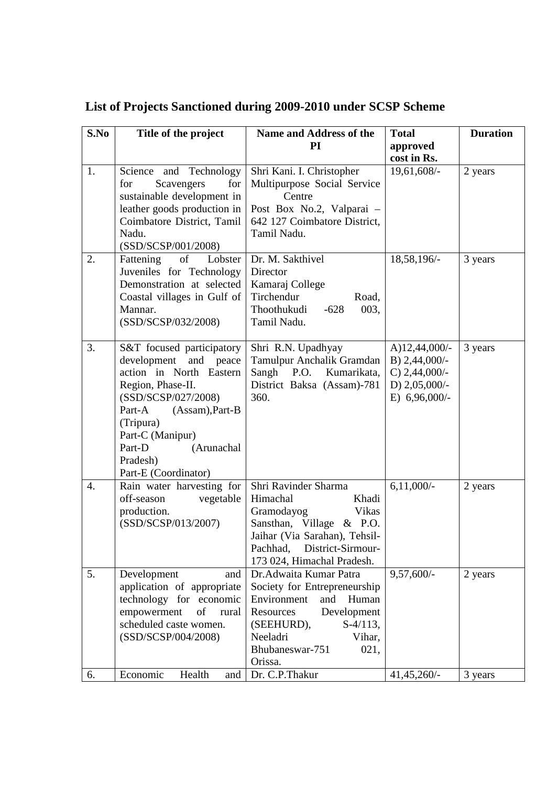| S.No     | Title of the project                                                                                                                                                                                                                                         | <b>Name and Address of the</b>                                                                                                                                                                                                 | <b>Total</b>                                                                              | <b>Duration</b>    |
|----------|--------------------------------------------------------------------------------------------------------------------------------------------------------------------------------------------------------------------------------------------------------------|--------------------------------------------------------------------------------------------------------------------------------------------------------------------------------------------------------------------------------|-------------------------------------------------------------------------------------------|--------------------|
|          |                                                                                                                                                                                                                                                              | PI                                                                                                                                                                                                                             | approved                                                                                  |                    |
|          |                                                                                                                                                                                                                                                              |                                                                                                                                                                                                                                | cost in Rs.                                                                               |                    |
| 1.       | Science and Technology<br>Scavengers<br>for<br>for<br>sustainable development in<br>leather goods production in<br>Coimbatore District, Tamil<br>Nadu.<br>(SSD/SCSP/001/2008)                                                                                | Shri Kani. I. Christopher<br>Multipurpose Social Service<br>Centre<br>Post Box No.2, Valparai -<br>642 127 Coimbatore District,<br>Tamil Nadu.                                                                                 | 19,61,608/-                                                                               | 2 years            |
| 2.       | of<br>Fattening<br>Lobster<br>Juveniles for Technology<br>Demonstration at selected<br>Coastal villages in Gulf of<br>Mannar.<br>(SSD/SCSP/032/2008)                                                                                                         | Dr. M. Sakthivel<br>Director<br>Kamaraj College<br>Tirchendur<br>Road,<br>Thoothukudi<br>003,<br>$-628$<br>Tamil Nadu.                                                                                                         | 18,58,196/-                                                                               | 3 years            |
| 3.       | S&T focused participatory<br>development<br>and<br>peace<br>action in North Eastern<br>Region, Phase-II.<br>(SSD/SCSP/027/2008)<br>Part-A<br>$(Assam)$ , Part-B<br>(Tripura)<br>Part-C (Manipur)<br>(Arunachal<br>Part-D<br>Pradesh)<br>Part-E (Coordinator) | Shri R.N. Upadhyay<br>Tamulpur Anchalik Gramdan<br>Sangh P.O.<br>Kumarikata,<br>District Baksa (Assam)-781<br>360.                                                                                                             | A)12,44,000/-<br>B) $2,44,000/-$<br>C) $2,44,000/-$<br>D) $2,05,000/-$<br>E) $6,96,000/-$ | 3 years            |
| 4.       | Rain water harvesting for<br>off-season<br>vegetable<br>production.<br>(SSD/SCSP/013/2007)                                                                                                                                                                   | Shri Ravinder Sharma<br>Himachal<br>Khadi<br>Gramodayog<br><b>Vikas</b><br>Sansthan, Village & P.O.<br>Jaihar (Via Sarahan), Tehsil-<br>District-Sirmour-<br>Pachhad,<br>173 024, Himachal Pradesh.                            | $6,11,000/-$                                                                              | 2 years            |
| 5.<br>6. | Development<br>and<br>application of appropriate<br>technology for economic<br>of<br>empowerment<br>rural<br>scheduled caste women.<br>(SSD/SCSP/004/2008)<br>Economic<br>Health<br>and                                                                      | Dr. Adwaita Kumar Patra<br>Society for Entrepreneurship<br>Environment<br>and<br>Human<br>Development<br>Resources<br>(SEEHURD),<br>$S-4/113$ ,<br>Neeladri<br>Vihar,<br>Bhubaneswar-751<br>021,<br>Orissa.<br>Dr. C.P. Thakur | $9,57,600/-$<br>$41,45,260/-$                                                             | 2 years<br>3 years |
|          |                                                                                                                                                                                                                                                              |                                                                                                                                                                                                                                |                                                                                           |                    |

## **List of Projects Sanctioned during 2009-2010 under SCSP Scheme**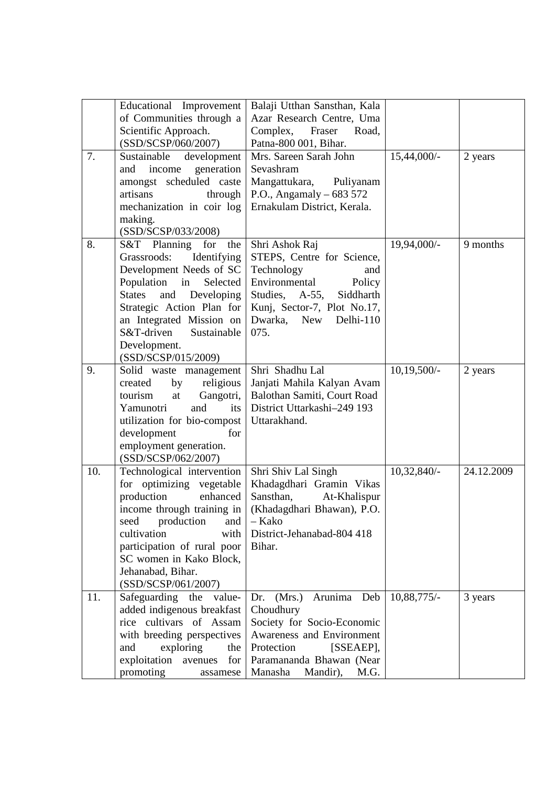|     | Educational Improvement<br>of Communities through a<br>Scientific Approach.<br>(SSD/SCSP/060/2007)                                                                                                                                                                                  | Balaji Utthan Sansthan, Kala<br>Azar Research Centre, Uma<br>Complex,<br>Fraser<br>Road,<br>Patna-800 001, Bihar.                                                                                 |               |            |
|-----|-------------------------------------------------------------------------------------------------------------------------------------------------------------------------------------------------------------------------------------------------------------------------------------|---------------------------------------------------------------------------------------------------------------------------------------------------------------------------------------------------|---------------|------------|
| 7.  | Sustainable development<br>income generation<br>and<br>amongst scheduled caste<br>artisans<br>through<br>mechanization in coir log<br>making.<br>(SSD/SCSP/033/2008)                                                                                                                | Mrs. Sareen Sarah John<br>Sevashram<br>Mangattukara,<br>Puliyanam<br>P.O., Angamaly $-683572$<br>Ernakulam District, Kerala.                                                                      | 15,44,000/-   | 2 years    |
| 8.  | S&T Planning for<br>the<br>Grassroods:<br>Identifying<br>Development Needs of SC<br>Population<br>in<br>Selected<br>and<br>Developing<br><b>States</b><br>Strategic Action Plan for<br>an Integrated Mission on<br>S&T-driven<br>Sustainable<br>Development.<br>(SSD/SCSP/015/2009) | Shri Ashok Raj<br>STEPS, Centre for Science,<br>Technology<br>and<br>Environmental<br>Policy<br>Studies, A-55,<br>Siddharth<br>Kunj, Sector-7, Plot No.17,<br>New<br>Dwarka,<br>Delhi-110<br>075. | 19,94,000/-   | 9 months   |
| 9.  | Solid waste management<br>religious<br>by<br>created<br>Gangotri,<br>tourism<br>at<br>Yamunotri<br>and<br>its<br>utilization for bio-compost<br>development<br>for<br>employment generation.<br>(SSD/SCSP/062/2007)                                                                 | Shri Shadhu Lal<br>Janjati Mahila Kalyan Avam<br>Balothan Samiti, Court Road<br>District Uttarkashi-249 193<br>Uttarakhand.                                                                       | $10,19,500/-$ | 2 years    |
| 10. | Technological intervention<br>for optimizing vegetable<br>production<br>enhanced<br>income through training in $\vert$<br>production<br>seed<br>and<br>cultivation<br>with<br>participation of rural poor<br>SC women in Kako Block,<br>Jehanabad, Bihar.<br>(SSD/SCSP/061/2007)    | Shri Shiv Lal Singh<br>Khadagdhari Gramin Vikas<br>Sansthan,<br>At-Khalispur<br>(Khadagdhari Bhawan), P.O.<br>– Kako<br>District-Jehanabad-804 418<br>Bihar.                                      | $10,32,840/-$ | 24.12.2009 |
| 11. | Safeguarding<br>the<br>value-<br>added indigenous breakfast<br>rice cultivars of Assam<br>with breeding perspectives<br>exploring<br>and<br>the<br>exploitation avenues<br>for<br>promoting<br>assamese                                                                             | (Mrs.) Arunima Deb<br>Dr.<br>Choudhury<br>Society for Socio-Economic<br>Awareness and Environment<br>Protection<br>[SSEAEP],<br>Paramananda Bhawan (Near<br>Manasha<br>Mandir),<br>M.G.           | 10,88,775/-   | 3 years    |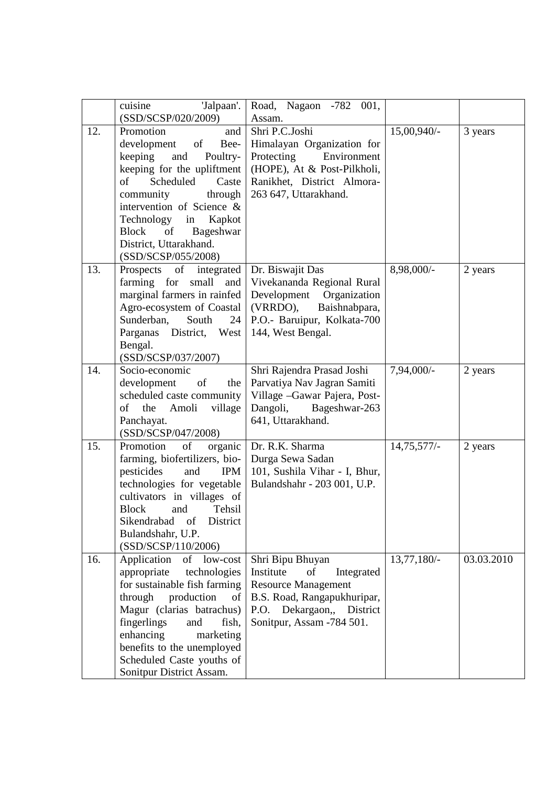|     | cuisine<br>'Jalpaan'.<br>(SSD/SCSP/020/2009)                                                                                                                                                                                                                                                                 | Road, Nagaon -782 001,<br>Assam.                                                                                                                                         |               |            |
|-----|--------------------------------------------------------------------------------------------------------------------------------------------------------------------------------------------------------------------------------------------------------------------------------------------------------------|--------------------------------------------------------------------------------------------------------------------------------------------------------------------------|---------------|------------|
| 12. | Promotion<br>and<br>development<br>of<br>Bee-<br>keeping<br>and<br>Poultry-<br>keeping for the upliftment<br>Scheduled<br>Caste<br>of<br>community<br>through<br>intervention of Science &<br>Technology<br>Kapkot<br>in<br>Bageshwar<br><b>Block</b><br>of<br>District, Uttarakhand.<br>(SSD/SCSP/055/2008) | Shri P.C.Joshi<br>Himalayan Organization for<br>Protecting<br>Environment<br>(HOPE), At & Post-Pilkholi,<br>Ranikhet, District Almora-<br>263 647, Uttarakhand.          | 15,00,940/-   | 3 years    |
| 13. | of<br>integrated  <br>Prospects<br>farming for<br>small<br>and<br>marginal farmers in rainfed<br>Agro-ecosystem of Coastal<br>Sunderban,<br>South<br>24<br>Parganas District, West<br>Bengal.<br>(SSD/SCSP/037/2007)                                                                                         | Dr. Biswajit Das<br>Vivekananda Regional Rural<br>Development<br>Organization<br>(VRRDO),<br>Baishnabpara,<br>P.O.- Baruipur, Kolkata-700<br>144, West Bengal.           | 8,98,000/-    | 2 years    |
| 14. | Socio-economic<br>development<br>of<br>the<br>scheduled caste community<br>of<br>Amoli<br>village<br>the<br>Panchayat.<br>(SSD/SCSP/047/2008)                                                                                                                                                                | Shri Rajendra Prasad Joshi<br>Parvatiya Nav Jagran Samiti<br>Village - Gawar Pajera, Post-<br>Dangoli,<br>Bageshwar-263<br>641, Uttarakhand.                             | 7,94,000/-    | 2 years    |
| 15. | Promotion<br>of<br>organic<br>farming, biofertilizers, bio-<br>pesticides<br>and<br><b>IPM</b><br>technologies for vegetable<br>cultivators in villages of<br>Tehsil<br><b>Block</b><br>and<br>Sikendrabad<br>District<br>of<br>Bulandshahr, U.P.<br>(SSD/SCSP/110/2006)                                     | Dr. R.K. Sharma<br>Durga Sewa Sadan<br>101, Sushila Vihar - I, Bhur,<br>Bulandshahr - 203 001, U.P.                                                                      | $14,75,577/-$ | 2 years    |
| 16. | Application<br>of<br>low-cost<br>appropriate<br>technologies<br>for sustainable fish farming<br>through<br>production<br>of<br>Magur (clarias batrachus)<br>fingerlings<br>and<br>fish,<br>enhancing<br>marketing<br>benefits to the unemployed<br>Scheduled Caste youths of<br>Sonitpur District Assam.     | Shri Bipu Bhuyan<br>Institute<br>of<br>Integrated<br><b>Resource Management</b><br>B.S. Road, Rangapukhuripar,<br>P.O. Dekargaon,, District<br>Sonitpur, Assam -784 501. | 13,77,180/-   | 03.03.2010 |